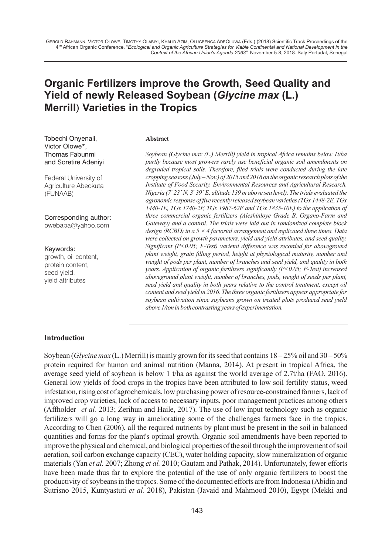# **Organic Fertilizers improve the Growth, Seed Quality and Yield of newly Released Soybean (***Glycine max* **(L.) Merrill) Varieties in the Tropics**

## **Abstract**

Tobechi Onyenali, Victor Olowe\*, Thomas Fabunmi and Soretire Adeniyi

Federal University of Agriculture Abeokuta (FUNAAB)

Corresponding author: owebaba@yahoo.com

Keywords: growth, oil content, protein content, seed yield, yield attributes

*Soybean (Glycine max (L.) Merrill) yield in tropical Africa remains below 1t/ha partly because most growers rarely use beneficial organic soil amendments on degraded tropical soils. Therefore, filed trials were conducted during the late cropping seasons (July – Nov.) of 2015 and 2016 on the organic research plots of the Institute of Food Security, Environmental Resources and Agricultural Research, <sup>o</sup> <sup>o</sup> Nigeria (7 23´ N, 3 39´ E, altitude 139 m above sea level). The trials evaluated the agronomic response of five recently released soybean varieties (TGx 1448-2E, TGx 1440-1E, TGx 1740-2F, TGx 1987-62F and TGx 1835-10E) to the application of three commercial organic fertilizers (Aleshinloye Grade B, Organo-Farm and Gateway) and a control. The trials were laid out in randomized complete block design (RCBD) in a 5 × 4 factorial arrangement and replicated three times. Data were collected on growth parameters, yield and yield attributes, and seed quality. Significant (P<0.05; F-Test) varietal difference was recorded for aboveground plant weight, grain filling period, height at physiological maturity, number and weight of pods per plant, number of branches and seed yield, and quality in both years. Application of organic fertilizers significantly (P<0.05; F-Test) increased aboveground plant weight, number of branches, pods, weight of seeds per plant, seed yield and quality in both years relative to the control treatment, except oil content and seed yield in 2016. The three organic fertilizers appear appropriate for soybean cultivation since soybeans grown on treated plots produced seed yield above 1/ton in both contrasting years of experimentation.*

#### **Introduction**

Soybean (*Glycine max* (L.) Merrill) is mainly grown for its seed that contains 18 – 25% oil and 30 – 50% protein required for human and animal nutrition (Manna, 2014). At present in tropical Africa, the average seed yield of soybean is below 1 t/ha as against the world average of 2.7t/ha (FAO, 2016). General low yields of food crops in the tropics have been attributed to low soil fertility status, weed infestation, rising cost of agrochemicals, low purchasing power of resource-constrained farmers, lack of improved crop varieties, lack of access to necessary inputs, poor management practices among others (Affholder *et al.* 2013; Zerihun and Haile, 2017). The use of low input technology such as organic fertilizers will go a long way in ameliorating some of the challenges farmers face in the tropics. According to Chen (2006), all the required nutrients by plant must be present in the soil in balanced quantities and forms for the plant's optimal growth. Organic soil amendments have been reported to improve the physical and chemical, and biological properties of the soil through the improvement of soil aeration, soil carbon exchange capacity (CEC), water holding capacity, slow mineralization of organic materials (Yan *et al.* 2007; Zhong *et al.* 2010; Gautam and Pathak, 2014). Unfortunately, fewer efforts have been made thus far to explore the potential of the use of only organic fertilizers to boost the productivity of soybeans in the tropics. Some of the documented efforts are from Indonesia (Abidin and Sutrisno 2015, Kuntyastuti *et al.* 2018), Pakistan (Javaid and Mahmood 2010), Egypt (Mekki and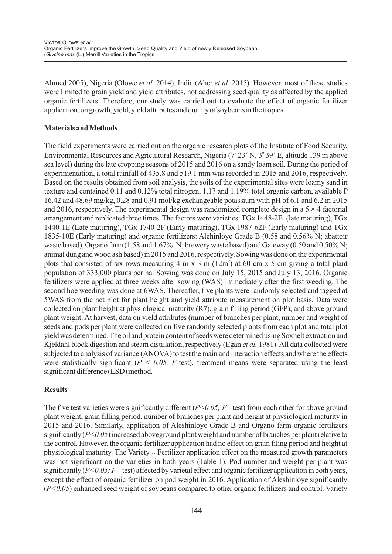Ahmed 2005), Nigeria (Olowe *et al.* 2014), India (Aher *et al.* 2015). However, most of these studies were limited to grain yield and yield attributes, not addressing seed quality as affected by the applied organic fertilizers. Therefore, our study was carried out to evaluate the effect of organic fertilizer application, on growth, yield, yield attributes and quality of soybeans in the tropics.

### **Materials and Methods**

The field experiments were carried out on the organic research plots of the Institute of Food Security, Environmental Resources and Agricultural Research, Nigeria (7° 23' N, 3° 39' E, altitude 139 m above sea level) during the late cropping seasons of 2015 and 2016 on a sandy loam soil. During the period of experimentation, a total rainfall of 435.8 and 519.1 mm was recorded in 2015 and 2016, respectively. Based on the results obtained from soil analysis, the soils of the experimental sites were loamy sand in texture and contained 0.11 and 0.12% total nitrogen, 1.17 and 1.19% total organic carbon, available P 16.42 and 48.69 mg/kg, 0.28 and 0.91 mol/kg exchangeable potassium with pH of 6.1 and 6.2 in 2015 and 2016, respectively. The experimental design was randomized complete design in a  $5 \times 4$  factorial arrangement and replicated three times. The factors were varieties: TGx 1448-2E (late maturing), TGx 1440-1E (Late maturing), TGx 1740-2F (Early maturing), TGx 1987-62F (Early maturing) and TGx 1835-10E (Early maturing) and organic fertilizers: Alehinloye Grade B (0.58 and 0.56% N; abattoir waste based), Organo farm (1.58 and 1.67% N; brewery waste based) and Gateway (0.50 and 0.50% N; animal dung and wood ash based) in 2015 and 2016, respectively. Sowing was done on the experimental plots that consisted of six rows measuring  $4 \text{ m x } 3 \text{ m } (12 \text{ m}^2)$  at 60 cm x 5 cm giving a total plant population of 333,000 plants per ha. Sowing was done on July 15, 2015 and July 13, 2016. Organic fertilizers were applied at three weeks after sowing (WAS) immediately after the first weeding. The second hoe weeding was done at 6WAS. Thereafter, five plants were randomly selected and tagged at 5WAS from the net plot for plant height and yield attribute measurement on plot basis. Data were collected on plant height at physiological maturity (R7), grain filling period (GFP), and above ground plant weight. At harvest, data on yield attributes (number of branches per plant, number and weight of seeds and pods per plant were collected on five randomly selected plants from each plot and total plot yield was determined. The oil and protein content of seeds were determined using Soxhelt extraction and Kjeldahl block digestion and steam distillation, respectively (Egan *et al.* 1981). All data collected were subjected to analysis of variance (ANOVA) to test the main and interaction effects and where the effects were statistically significant ( $P < 0.05$ ,  $F$ -test), treatment means were separated using the least significant difference (LSD) method.

### **Results**

The five test varieties were significantly different (*P<0.05; F* - test) from each other for above ground plant weight, grain filling period, number of branches per plant and height at physiological maturity in 2015 and 2016. Similarly, application of Aleshinloye Grade B and Organo farm organic fertilizers significantly (*P<0.05*) increased aboveground plant weight and number of branches per plant relative to the control. However, the organic fertilizer application had no effect on grain filing period and height at physiological maturity. The Variety × Fertilizer application effect on the measured growth parameters was not significant on the varieties in both years (Table 1). Pod number and weight per plant was significantly (*P<0.05; F*– test) affected by varietal effect and organic fertilizer application in both years, except the effect of organic fertilizer on pod weight in 2016. Application of Aleshinloye significantly (*P<0.05*) enhanced seed weight of soybeans compared to other organic fertilizers and control. Variety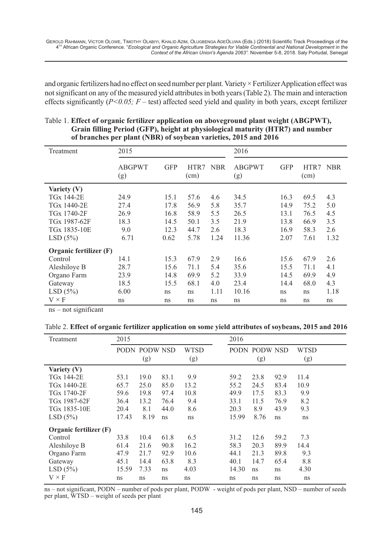and organic fertilizers had no effect on seed number per plant. Variety × Fertilizer Application effect was not significant on any of the measured yield attributes in both years (Table 2). The main and interaction effects significantly (*P<0.05; F* – test) affected seed yield and quality in both years, except fertilizer

| Treatment               | 2015                 |            |              | 2016       |                      |            |              |            |
|-------------------------|----------------------|------------|--------------|------------|----------------------|------------|--------------|------------|
|                         | <b>ABGPWT</b><br>(g) | <b>GFP</b> | HTR7<br>(cm) | <b>NBR</b> | <b>ABGPWT</b><br>(g) | <b>GFP</b> | HTR7<br>(cm) | <b>NBR</b> |
| Variety (V)             |                      |            |              |            |                      |            |              |            |
| TG <sub>x</sub> 144-2E  | 24.9                 | 15.1       | 57.6         | 4.6        | 34.5                 | 16.3       | 69.5         | 4.3        |
| TGx 1440-2E             | 27.4                 | 17.8       | 56.9         | 5.8        | 35.7                 | 14.9       | 75.2         | 5.0        |
| TG <sub>x</sub> 1740-2F | 26.9                 | 16.8       | 58.9         | 5.5        | 26.5                 | 13.1       | 76.5         | 4.5        |
| TGx 1987-62F            | 18.3                 | 14.5       | 50.1         | 3.5        | 21.9                 | 13.8       | 66.9         | 3.5        |
| TGx 1835-10E            | 9.0                  | 12.3       | 44.7         | 2.6        | 18.3                 | 16.9       | 58.3         | 2.6        |
| LSD(5%)                 | 6.71                 | 0.62       | 5.78         | 1.24       | 11.36                | 2.07       | 7.61         | 1.32       |
| Organic fertilizer (F)  |                      |            |              |            |                      |            |              |            |
| Control                 | 14.1                 | 15.3       | 67.9         | 2.9        | 16.6                 | 15.6       | 67.9         | 2.6        |
| Aleshiloye B            | 28.7                 | 15.6       | 71.1         | 5.4        | 35.6                 | 15.5       | 71.1         | 4.1        |
| Organo Farm             | 23.9                 | 14.8       | 69.9         | 5.2        | 33.9                 | 14.5       | 69.9         | 4.9        |
| Gateway                 | 18.5                 | 15.5       | 68.1         | 4.0        | 23.4                 | 14.4       | 68.0         | 4.3        |
| LSD(5%)                 | 6.00                 | ns         | ns           | 1.11       | 10.16                | ns         | ns           | 1.18       |
| $V \times F$            | ns                   | ns         | ns           | ns         | ns                   | ns         | ns           | ns         |

| Table 1. Effect of organic fertilizer application on aboveground plant weight (ABGPWT), |
|-----------------------------------------------------------------------------------------|
| Grain filling Period (GFP), height at physiological maturity (HTR7) and number          |
| of branches per plant (NBR) of soybean varieties, 2015 and 2016                         |

ns – not significant

|  | Table 2. Effect of organic fertilizer application on some yield attributes of soybeans, 2015 and 2016 |  |  |
|--|-------------------------------------------------------------------------------------------------------|--|--|
|  |                                                                                                       |  |  |

| Treatment              | 2015  |               |      | 2016        |       |               |      |             |  |
|------------------------|-------|---------------|------|-------------|-------|---------------|------|-------------|--|
|                        |       | PODN PODW NSD |      | <b>WTSD</b> |       | PODN PODW NSD |      | <b>WTSD</b> |  |
|                        |       | (g)           |      | (g)         |       | (g)           |      | (g)         |  |
| Variety (V)            |       |               |      |             |       |               |      |             |  |
| TGx 144-2E             | 53.1  | 19.0          | 83.1 | 9.9         | 59.2  | 23.8          | 92.9 | 11.4        |  |
| TGx 1440-2E            | 65.7  | 25.0          | 85.0 | 13.2        | 55.2  | 24.5          | 83.4 | 10.9        |  |
| TGx 1740-2F            | 59.6  | 19.8          | 97.4 | 10.8        | 49.9  | 17.5          | 83.3 | 9.9         |  |
| TGx 1987-62F           | 36.4  | 13.2          | 76.4 | 9.4         | 33.1  | 11.5          | 76.9 | 8.2         |  |
| TGx 1835-10E           | 20.4  | 8.1           | 44.0 | 8.6         | 20.3  | 8.9           | 43.9 | 9.3         |  |
| LSD(5%)                | 17.43 | 8.19          | ns   | ns          | 15.99 | 8.76          | ns   | ns          |  |
| Organic fertilizer (F) |       |               |      |             |       |               |      |             |  |
| Control                | 33.8  | 10.4          | 61.8 | 6.5         | 31.2  | 12.6          | 59.2 | 7.3         |  |
| Aleshiloye B           | 61.4  | 21.6          | 90.8 | 16.2        | 58.3  | 20.3          | 89.9 | 14.4        |  |
| Organo Farm            | 47.9  | 21.7          | 92.9 | 10.6        | 44.1  | 21.3          | 89.8 | 9.3         |  |
| Gateway                | 45.1  | 14.4          | 63.8 | 8.3         | 40.1  | 14.7          | 65.4 | 8.8         |  |
| LSD(5%)                | 15.59 | 7.33          | ns   | 4.03        | 14.30 | ns            | ns   | 4.30        |  |
| $V \times F$           | ns    | ns            | ns   | ns          | ns    | ns            | ns   | ns          |  |

ns – not significant, PODN – number of pods per plant, PODW - weight of pods per plant, NSD – number of seeds per plant, WTSD – weight of seeds per plant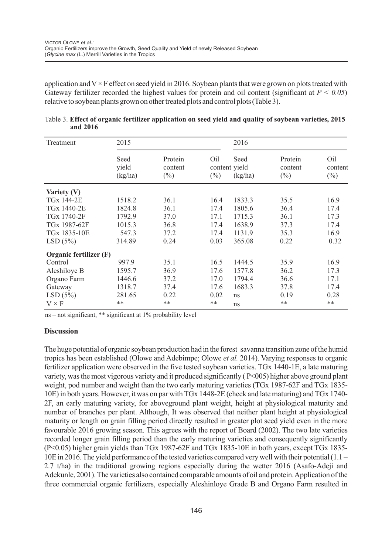application and  $V \times F$  effect on seed yield in 2016. Soybean plants that were grown on plots treated with Gateway fertilizer recorded the highest values for protein and oil content (significant at  $P < 0.05$ ) relative to soybean plants grown on other treated plots and control plots (Table 3).

| Treatment              | 2015                     |                              |                                | 2016            |                              |                          |  |
|------------------------|--------------------------|------------------------------|--------------------------------|-----------------|------------------------------|--------------------------|--|
|                        | Seed<br>yield<br>(kg/ha) | Protein<br>content<br>$(\%)$ | Oil<br>content yield<br>$(\%)$ | Seed<br>(kg/ha) | Protein<br>content<br>$(\%)$ | Oil<br>content<br>$(\%)$ |  |
| Variety (V)            |                          |                              |                                |                 |                              |                          |  |
| <b>TGx 144-2E</b>      | 1518.2                   | 36.1                         | 16.4                           | 1833.3          | 35.5                         | 16.9                     |  |
| TGx 1440-2E            | 1824.8                   | 36.1                         | 17.4                           | 1805.6          | 36.4                         | 17.4                     |  |
| TGx 1740-2F            | 1792.9                   | 37.0                         | 17.1                           | 1715.3          | 36.1                         | 17.3                     |  |
| TGx 1987-62F           | 1015.3                   | 36.8                         | 17.4                           | 1638.9          | 37.3                         | 17.4                     |  |
| TGx 1835-10E           | 547.3                    | 37.2                         | 17.4                           | 1131.9          | 35.3                         | 16.9                     |  |
| LSD(5%)                | 314.89                   | 0.24                         | 0.03                           | 365.08          | 0.22                         | 0.32                     |  |
| Organic fertilizer (F) |                          |                              |                                |                 |                              |                          |  |
| Control                | 997.9                    | 35.1                         | 16.5                           | 1444.5          | 35.9                         | 16.9                     |  |
| Aleshiloye B           | 1595.7                   | 36.9                         | 17.6                           | 1577.8          | 36.2                         | 17.3                     |  |
| Organo Farm            | 1446.6                   | 37.2                         | 17.0                           | 1794.4          | 36.6                         | 17.1                     |  |
| Gateway                | 1318.7                   | 37.4                         | 17.6                           | 1683.3          | 37.8                         | 17.4                     |  |
| LSD(5%)                | 281.65                   | 0.22                         | 0.02                           | ns              | 0.19                         | 0.28                     |  |
| $V \times F$           | $**$                     | $***$                        | **                             | ns              | $**$                         | $***$                    |  |

|          | Table 3. Effect of organic fertilizer application on seed yield and quality of soybean varieties, 2015 |  |  |
|----------|--------------------------------------------------------------------------------------------------------|--|--|
| and 2016 |                                                                                                        |  |  |

ns – not significant, \*\* significant at 1% probability level

### **Discussion**

The huge potential of organic soybean production had in the forest savanna transition zone of the humid tropics has been established (Olowe and Adebimpe; Olowe *et al.* 2014). Varying responses to organic fertilizer application were observed in the five tested soybean varieties. TGx 1440-1E, a late maturing variety, was the most vigorous variety and it produced significantly ( P<005) higher above ground plant weight, pod number and weight than the two early maturing varieties (TGx 1987-62F and TGx 1835- 10E) in both years. However, it was on par with TGx 1448-2E (check and late maturing) and TGx 1740- 2F, an early maturing variety, for aboveground plant weight, height at physiological maturity and number of branches per plant. Although, It was observed that neither plant height at physiological maturity or length on grain filling period directly resulted in greater plot seed yield even in the more favourable 2016 growing season. This agrees with the report of Board (2002). The two late varieties recorded longer grain filling period than the early maturing varieties and consequently significantly (P<0.05) higher grain yields than TGx 1987-62F and TGx 1835-10E in both years, except TGx 1835- 10E in 2016. The yield performance of the tested varieties compared very well with their potential (1.1 – 2.7 t/ha) in the traditional growing regions especially during the wetter 2016 (Asafo-Adeji and Adekunle, 2001). The varieties also contained comparable amounts of oil and protein. Application of the three commercial organic fertilizers, especially Aleshinloye Grade B and Organo Farm resulted in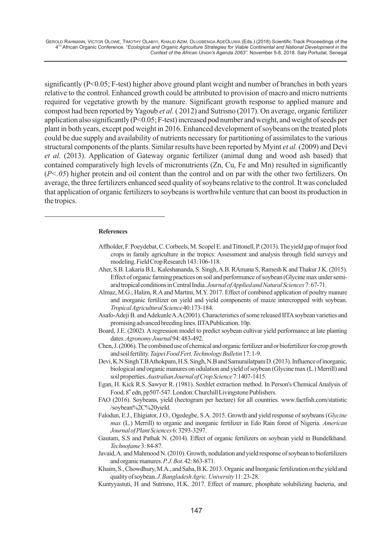significantly (P<0.05; F-test) higher above ground plant weight and number of branches in both years relative to the control. Enhanced growth could be attributed to provision of macro and micro nutrients required for vegetative growth by the manure. Significant growth response to applied manure and compost had been reported by Yagoub *et al.* ( 2012) and Sutrisno (2017). On average, organic fertilizer application also significantly (P<0.05; F-test) increased pod number and weight, and weight of seeds per plant in both years, except pod weight in 2016. Enhanced development of soybeans on the treated plots could be due supply and availability of nutrients necessary for partitioning of assimilates to the various structural components of the plants. Similar results have been reported by Myint *et al.* (2009) and Devi *et al.* (2013). Application of Gateway organic fertilizer (animal dung and wood ash based) that contained comparatively high levels of micronutrients (Zn, Cu, Fe and Mn) resulted in significantly (*P<.05*) higher protein and oil content than the control and on par with the other two fertilizers. On average, the three fertilizers enhanced seed quality of soybeans relative to the control. It was concluded that application of organic fertilizers to soybeans is worthwhile venture that can boost its production in the tropics.

#### **References**

- Affholder, F. Poeydebat, C. Corbeels, M. Scopel E. and Tittonell, P. (2013). The yield gap of major food crops in family agriculture in the tropics: Assessment and analysis through field surveys and modeling. Field Crop Research 143: 106-118.
- Aher, S.B. Lakaria B.L. Kaleshananda, S. Singh, A.B. RAmana S, Ramesh K and Thakur J.K. (2015). Effect of organic farming practices on soil and performance ofsoybean (Glycinemax undersemiarid tropical conditions in Central India. Journal of Applied and Natural Sciences 7: 67-71.
- Almaz, M.G., Halim, R.Aand Martini, M.Y. 2017. Effect of combined application of poultry manure and inorganic fertilizer on yield and yield components of maize intercropped with soybean. *TropicalAgriculturalScience*40:173-184.
- Asafo-Adeji B. and Adekunle A.A(2001). Characteristics of some released IITA soybean varieties and promisingadvancedbreedinglines.IITAPublication.10p.
- Board, J.E. (2002). A regression model to predict soybean cultivar yield performance at late planting dates.*AgronomyJournal*94:483-492.
- Chen, J. (2006). The combined use of chemical and organic fertilizer and or biofertilizer for crop growth andsoilfertility.*TaipeiFoodFert.TechnologyBulletin*17:1-9.
- Devi, K.N Singh T.B Athokpam, H.S. Singh, N.B and Samurailatpam D. (2013). Influence of inorganic, biological and organic manures on odulation and yield of soybean (Glycine max (L.) Merrill) and soilproperties.*AustralianJournalofCropScience*7:1407-1415.
- Egan, H. Kick R.S. Sawyer R. (1981). Soxhlet extraction method. In Person's Chemical Analysis of Food. 8<sup>th</sup> edn, pp507-547. London: Churchill Livingstone Publishers.
- FAO (2016). Soybeans, yield (hectogram per hectare) for all countries. www.factfish.com/statistic /soybean%2C%20yield.
- Falodun, E.J., Ehigiator, J.O., Ogedegbe, S.A. 2015. Growth and yield response of soybeans (*Glycine max* (L.) Merrill) to organic and inorganic fertilizer in Edo Rain forest of Nigeria. *American JournalofPlantSciences*6:3293-3297.
- Gautam, S.S and Pathak N. (2014). Effect of organic fertilizers on soybean yield in Bundelkhand. *Technofame*3:84-87.
- Javaid, A. and Mahmood N. (2010). Growth, nodulation and yield response of soybean to biofertilizers andorganicmanures.*P.J.Bot*.42:863-871.
- Khaim, S., Chowdhury, M.A., and Saha, B.K. 2013. Organic and Inorganic fertilization on the yield and qualityofsoybean.*J.BangladeshAgric.University*11:23-28.
- Kuntyyastuti, H and Sutrisno, H.K. 2017. Effect of manure, phosphate solubilizing bacteria, and